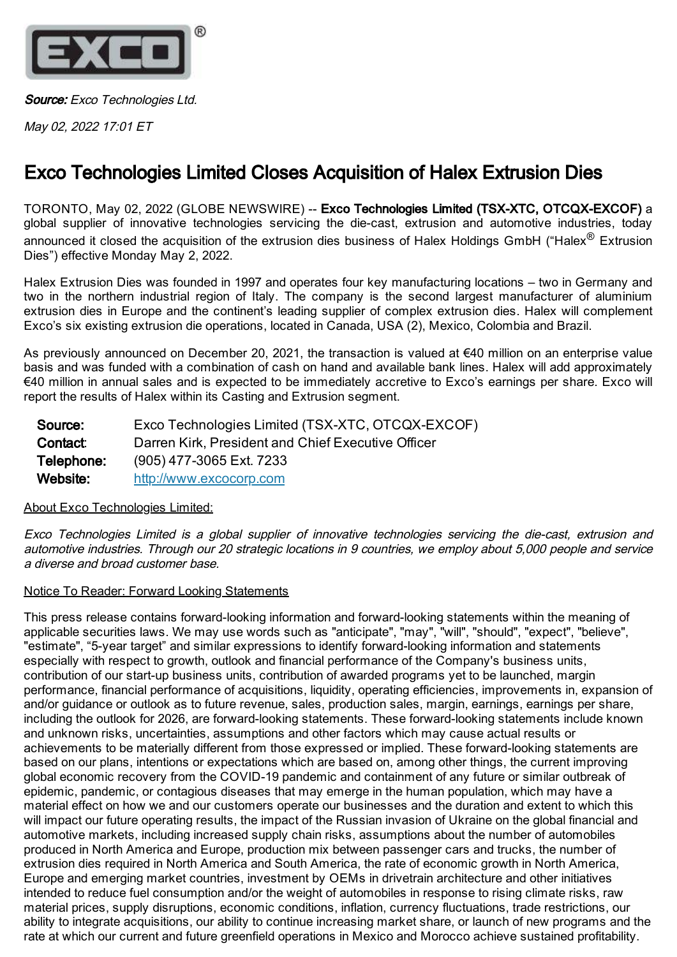

Source: Exco Technologies Ltd.

May 02, 2022 17:01 ET

## Exco Technologies Limited Closes Acquisition of Halex Extrusion Dies

TORONTO, May 02, 2022 (GLOBE NEWSWIRE) -- Exco Technologies Limited (TSX-XTC, OTCQX-EXCOF) a global supplier of innovative technologies servicing the die-cast, extrusion and automotive industries, today announced it closed the acquisition of the extrusion dies business of Halex Holdings GmbH ("Halex<sup>®</sup> Extrusion Dies") effective Monday May 2, 2022.

Halex Extrusion Dies was founded in 1997 and operates four key manufacturing locations – two in Germany and two in the northern industrial region of Italy. The company is the second largest manufacturer of aluminium extrusion dies in Europe and the continent's leading supplier of complex extrusion dies. Halex will complement Exco's six existing extrusion die operations, located in Canada, USA (2), Mexico, Colombia and Brazil.

As previously announced on December 20, 2021, the transaction is valued at €40 million on an enterprise value basis and was funded with a combination of cash on hand and available bank lines. Halex will add approximately €40 million in annual sales and is expected to be immediately accretive to Exco's earnings per share. Exco will report the results of Halex within its Casting and Extrusion segment.

| Source:    | Exco Technologies Limited (TSX-XTC, OTCQX-EXCOF)   |
|------------|----------------------------------------------------|
| Contact:   | Darren Kirk, President and Chief Executive Officer |
| Telephone: | (905) 477-3065 Ext. 7233                           |
| Website:   | http://www.excocorp.com                            |

## About Exco Technologies Limited:

Exco Technologies Limited is <sup>a</sup> global supplier of innovative technologies servicing the die-cast, extrusion and automotive industries. Through our 20 strategic locations in 9 countries, we employ about 5,000 people and service a diverse and broad customer base.

## Notice To Reader: Forward Looking Statements

This press release contains forward-looking information and forward-looking statements within the meaning of applicable securities laws. We may use words such as "anticipate", "may", "will", "should", "expect", "believe", "estimate", "5-year target" and similar expressions to identify forward-looking information and statements especially with respect to growth, outlook and financial performance of the Company's business units, contribution of our start-up business units, contribution of awarded programs yet to be launched, margin performance, financial performance of acquisitions, liquidity, operating efficiencies, improvements in, expansion of and/or guidance or outlook as to future revenue, sales, production sales, margin, earnings, earnings per share, including the outlook for 2026, are forward-looking statements. These forward-looking statements include known and unknown risks, uncertainties, assumptions and other factors which may cause actual results or achievements to be materially different from those expressed or implied. These forward-looking statements are based on our plans, intentions or expectations which are based on, among other things, the current improving global economic recovery from the COVID-19 pandemic and containment of any future or similar outbreak of epidemic, pandemic, or contagious diseases that may emerge in the human population, which may have a material effect on how we and our customers operate our businesses and the duration and extent to which this will impact our future operating results, the impact of the Russian invasion of Ukraine on the global financial and automotive markets, including increased supply chain risks, assumptions about the number of automobiles produced in North America and Europe, production mix between passenger cars and trucks, the number of extrusion dies required in North America and South America, the rate of economic growth in North America, Europe and emerging market countries, investment by OEMs in drivetrain architecture and other initiatives intended to reduce fuel consumption and/or the weight of automobiles in response to rising climate risks, raw material prices, supply disruptions, economic conditions, inflation, currency fluctuations, trade restrictions, our ability to integrate acquisitions, our ability to continue increasing market share, or launch of new programs and the rate at which our current and future greenfield operations in Mexico and Morocco achieve sustained profitability.